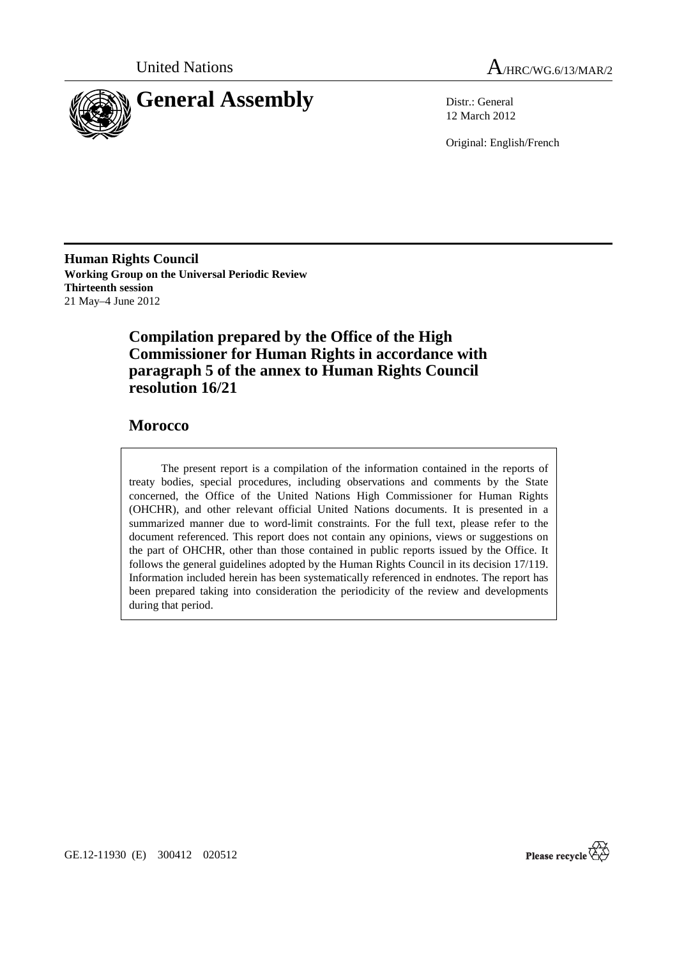



12 March 2012

Original: English/French

**Human Rights Council Working Group on the Universal Periodic Review Thirteenth session**  21 May–4 June 2012

# **Compilation prepared by the Office of the High Commissioner for Human Rights in accordance with paragraph 5 of the annex to Human Rights Council resolution 16/21**

## **Morocco**

 The present report is a compilation of the information contained in the reports of treaty bodies, special procedures, including observations and comments by the State concerned, the Office of the United Nations High Commissioner for Human Rights (OHCHR), and other relevant official United Nations documents. It is presented in a summarized manner due to word-limit constraints. For the full text, please refer to the document referenced. This report does not contain any opinions, views or suggestions on the part of OHCHR, other than those contained in public reports issued by the Office. It follows the general guidelines adopted by the Human Rights Council in its decision 17/119. Information included herein has been systematically referenced in endnotes. The report has been prepared taking into consideration the periodicity of the review and developments during that period.



GE.12-11930 (E) 300412 020512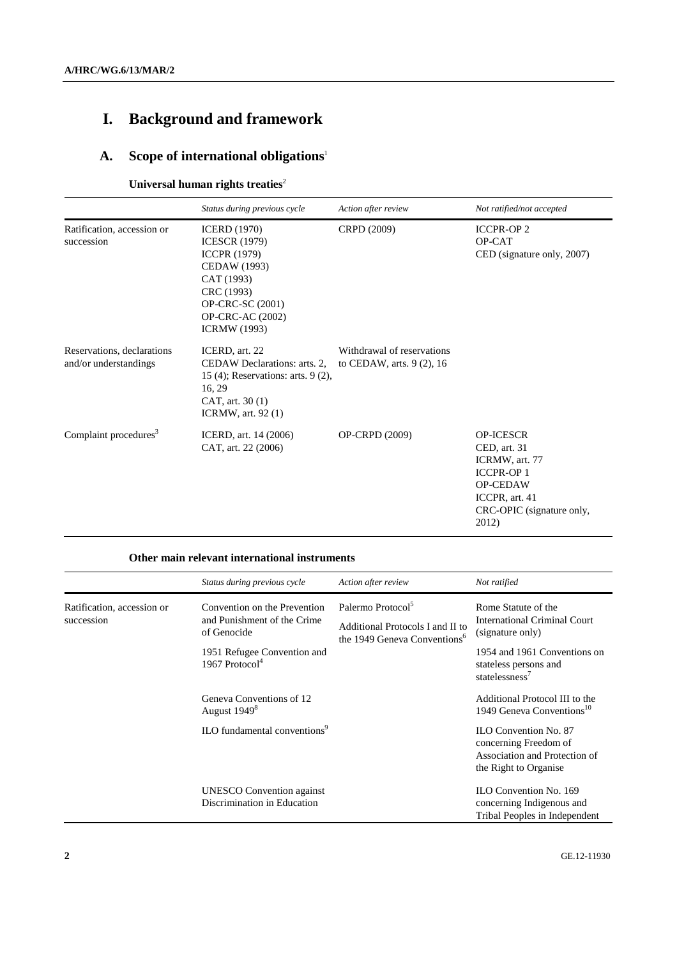# **I. Background and framework**

# **A. Scope of international obligations**<sup>1</sup>

## **Universal human rights treaties**<sup>2</sup>

|                                                     | Status during previous cycle                                                                                                                                                                | Action after review                                       | Not ratified/not accepted                                                                                                                         |
|-----------------------------------------------------|---------------------------------------------------------------------------------------------------------------------------------------------------------------------------------------------|-----------------------------------------------------------|---------------------------------------------------------------------------------------------------------------------------------------------------|
| Ratification, accession or<br>succession            | <b>ICERD</b> (1970)<br><b>ICESCR</b> (1979)<br><b>ICCPR (1979)</b><br>CEDAW (1993)<br>CAT (1993)<br>CRC (1993)<br><b>OP-CRC-SC</b> (2001)<br><b>OP-CRC-AC (2002)</b><br><b>ICRMW</b> (1993) | CRPD (2009)                                               | <b>ICCPR-OP2</b><br>OP-CAT<br>CED (signature only, 2007)                                                                                          |
| Reservations, declarations<br>and/or understandings | ICERD, art. 22<br>CEDAW Declarations: arts. 2.<br>15 $(4)$ ; Reservations: arts. 9 $(2)$ ,<br>16, 29<br>CAT, art. 30 (1)<br><b>ICRMW</b> , art. 92 (1)                                      | Withdrawal of reservations<br>to CEDAW, arts. $9(2)$ , 16 |                                                                                                                                                   |
| Complaint procedures <sup>3</sup>                   | ICERD, art. 14 (2006)<br>CAT, art. 22 (2006)                                                                                                                                                | OP-CRPD (2009)                                            | <b>OP-ICESCR</b><br>CED, art. 31<br>ICRMW, art. 77<br><b>ICCPR-OP1</b><br><b>OP-CEDAW</b><br>ICCPR, art. 41<br>CRC-OPIC (signature only,<br>2012) |

#### **Other main relevant international instruments**

|                                          | Status during previous cycle                                               | Action after review                                                                                           | Not ratified                                                                                                    |
|------------------------------------------|----------------------------------------------------------------------------|---------------------------------------------------------------------------------------------------------------|-----------------------------------------------------------------------------------------------------------------|
| Ratification, accession or<br>succession | Convention on the Prevention<br>and Punishment of the Crime<br>of Genocide | Palermo Protocol <sup>5</sup><br>Additional Protocols I and II to<br>the 1949 Geneva Conventions <sup>6</sup> | Rome Statute of the<br><b>International Criminal Court</b><br>(signature only)                                  |
|                                          | 1951 Refugee Convention and<br>1967 Protocol <sup>4</sup>                  |                                                                                                               | 1954 and 1961 Conventions on<br>stateless persons and<br>statelessness <sup>7</sup>                             |
|                                          | Geneva Conventions of 12<br>August 1949 <sup>8</sup>                       |                                                                                                               | Additional Protocol III to the<br>1949 Geneva Conventions <sup>10</sup>                                         |
|                                          | ILO fundamental conventions <sup>9</sup>                                   |                                                                                                               | <b>ILO Convention No. 87</b><br>concerning Freedom of<br>Association and Protection of<br>the Right to Organise |
|                                          | <b>UNESCO</b> Convention against<br>Discrimination in Education            |                                                                                                               | ILO Convention No. 169<br>concerning Indigenous and<br>Tribal Peoples in Independent                            |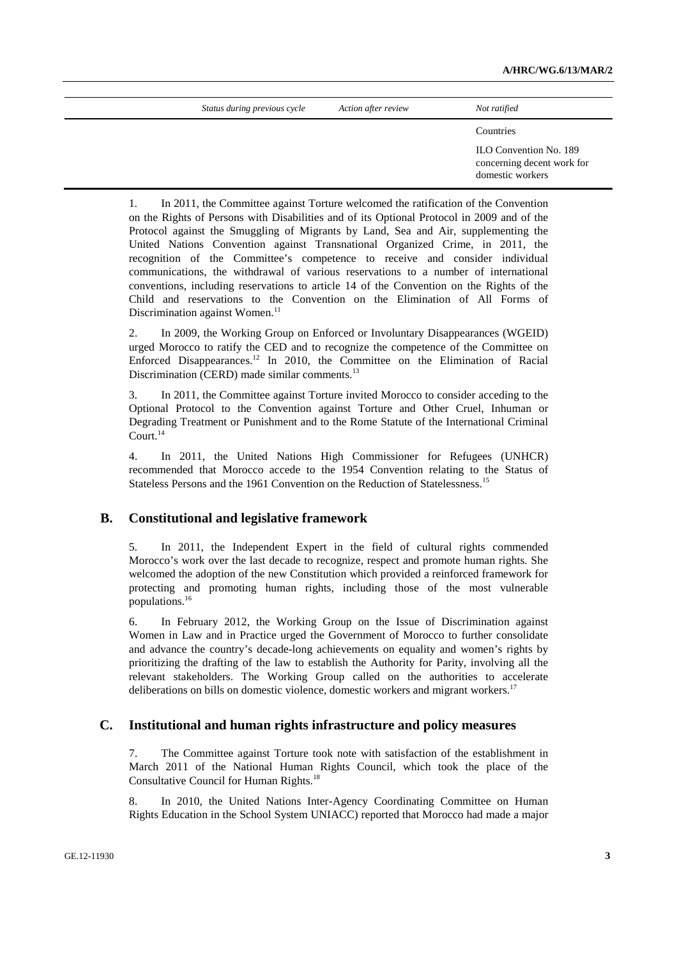| Status during previous cycle | Action after review | Not ratified                                                             |
|------------------------------|---------------------|--------------------------------------------------------------------------|
|                              |                     | Countries                                                                |
|                              |                     | ILO Convention No. 189<br>concerning decent work for<br>domestic workers |

1. In 2011, the Committee against Torture welcomed the ratification of the Convention on the Rights of Persons with Disabilities and of its Optional Protocol in 2009 and of the Protocol against the Smuggling of Migrants by Land, Sea and Air, supplementing the United Nations Convention against Transnational Organized Crime, in 2011, the recognition of the Committee's competence to receive and consider individual communications, the withdrawal of various reservations to a number of international conventions, including reservations to article 14 of the Convention on the Rights of the Child and reservations to the Convention on the Elimination of All Forms of Discrimination against Women.<sup>11</sup>

2. In 2009, the Working Group on Enforced or Involuntary Disappearances (WGEID) urged Morocco to ratify the CED and to recognize the competence of the Committee on Enforced Disappearances.12 In 2010, the Committee on the Elimination of Racial Discrimination (CERD) made similar comments.<sup>13</sup>

3. In 2011, the Committee against Torture invited Morocco to consider acceding to the Optional Protocol to the Convention against Torture and Other Cruel, Inhuman or Degrading Treatment or Punishment and to the Rome Statute of the International Criminal Court.<sup>14</sup>

4. In 2011, the United Nations High Commissioner for Refugees (UNHCR) recommended that Morocco accede to the 1954 Convention relating to the Status of Stateless Persons and the 1961 Convention on the Reduction of Statelessness.<sup>15</sup>

#### **B. Constitutional and legislative framework**

5. In 2011, the Independent Expert in the field of cultural rights commended Morocco's work over the last decade to recognize, respect and promote human rights. She welcomed the adoption of the new Constitution which provided a reinforced framework for protecting and promoting human rights, including those of the most vulnerable populations.16

6. In February 2012, the Working Group on the Issue of Discrimination against Women in Law and in Practice urged the Government of Morocco to further consolidate and advance the country's decade-long achievements on equality and women's rights by prioritizing the drafting of the law to establish the Authority for Parity, involving all the relevant stakeholders. The Working Group called on the authorities to accelerate deliberations on bills on domestic violence, domestic workers and migrant workers.<sup>17</sup>

#### **C. Institutional and human rights infrastructure and policy measures**

7. The Committee against Torture took note with satisfaction of the establishment in March 2011 of the National Human Rights Council, which took the place of the Consultative Council for Human Rights.18

8. In 2010, the United Nations Inter-Agency Coordinating Committee on Human Rights Education in the School System UNIACC) reported that Morocco had made a major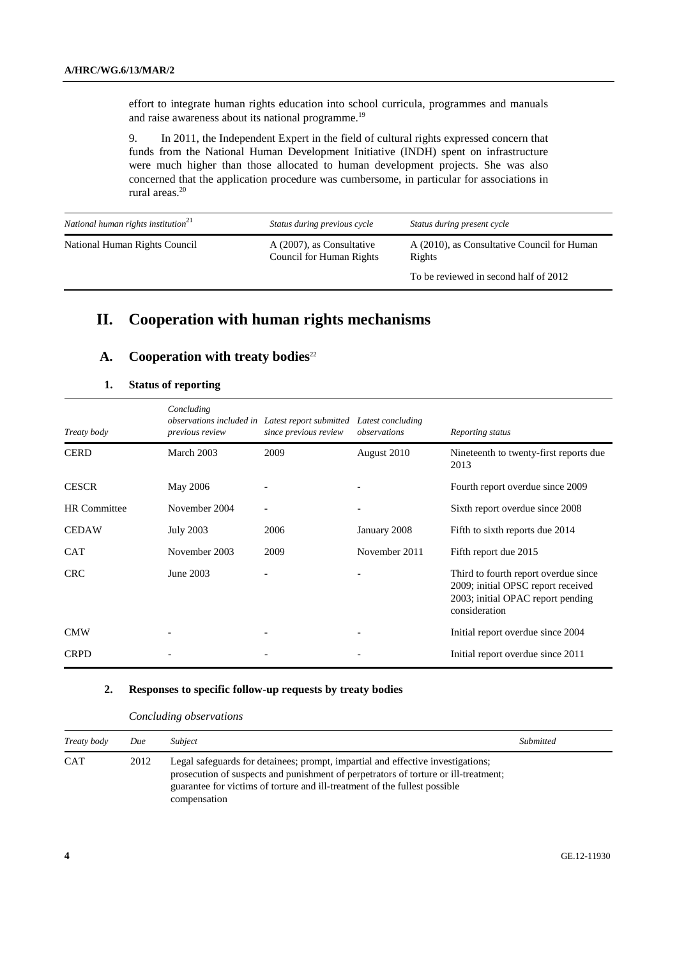effort to integrate human rights education into school curricula, programmes and manuals and raise awareness about its national programme.<sup>19</sup>

9. In 2011, the Independent Expert in the field of cultural rights expressed concern that funds from the National Human Development Initiative (INDH) spent on infrastructure were much higher than those allocated to human development projects. She was also concerned that the application procedure was cumbersome, in particular for associations in rural areas.20

| National human rights institution <sup>21</sup> | Status during previous cycle                          | Status during present cycle                           |
|-------------------------------------------------|-------------------------------------------------------|-------------------------------------------------------|
| National Human Rights Council                   | A (2007), as Consultative<br>Council for Human Rights | A (2010), as Consultative Council for Human<br>Rights |
|                                                 |                                                       | To be reviewed in second half of 2012                 |

# **II. Cooperation with human rights mechanisms**

## **A.** Cooperation with treaty bodies<sup>22</sup>

#### **1. Status of reporting**

| Treaty body         | Concluding<br>observations included in Latest report submitted<br>previous review | since previous review | Latest concluding<br>observations | Reporting status                                                                                                                 |
|---------------------|-----------------------------------------------------------------------------------|-----------------------|-----------------------------------|----------------------------------------------------------------------------------------------------------------------------------|
| <b>CERD</b>         | March 2003                                                                        | 2009                  | August 2010                       | Nineteenth to twenty-first reports due<br>2013                                                                                   |
| <b>CESCR</b>        | May 2006                                                                          |                       |                                   | Fourth report overdue since 2009                                                                                                 |
| <b>HR</b> Committee | November 2004                                                                     |                       |                                   | Sixth report overdue since 2008                                                                                                  |
| <b>CEDAW</b>        | <b>July 2003</b>                                                                  | 2006                  | January 2008                      | Fifth to sixth reports due 2014                                                                                                  |
| <b>CAT</b>          | November 2003                                                                     | 2009                  | November 2011                     | Fifth report due 2015                                                                                                            |
| <b>CRC</b>          | June 2003                                                                         |                       |                                   | Third to fourth report overdue since<br>2009; initial OPSC report received<br>2003; initial OPAC report pending<br>consideration |
| <b>CMW</b>          |                                                                                   |                       | $\overline{\phantom{a}}$          | Initial report overdue since 2004                                                                                                |
| <b>CRPD</b>         |                                                                                   |                       |                                   | Initial report overdue since 2011                                                                                                |

#### **2. Responses to specific follow-up requests by treaty bodies**

#### *Concluding observations*

| Treaty body | Due  | Subject                                                                                                                                                                                                                                                              | Submitted |
|-------------|------|----------------------------------------------------------------------------------------------------------------------------------------------------------------------------------------------------------------------------------------------------------------------|-----------|
| <b>CAT</b>  | 2012 | Legal safeguards for detainees; prompt, impartial and effective investigations;<br>prosecution of suspects and punishment of perpetrators of torture or ill-treatment;<br>guarantee for victims of torture and ill-treatment of the fullest possible<br>compensation |           |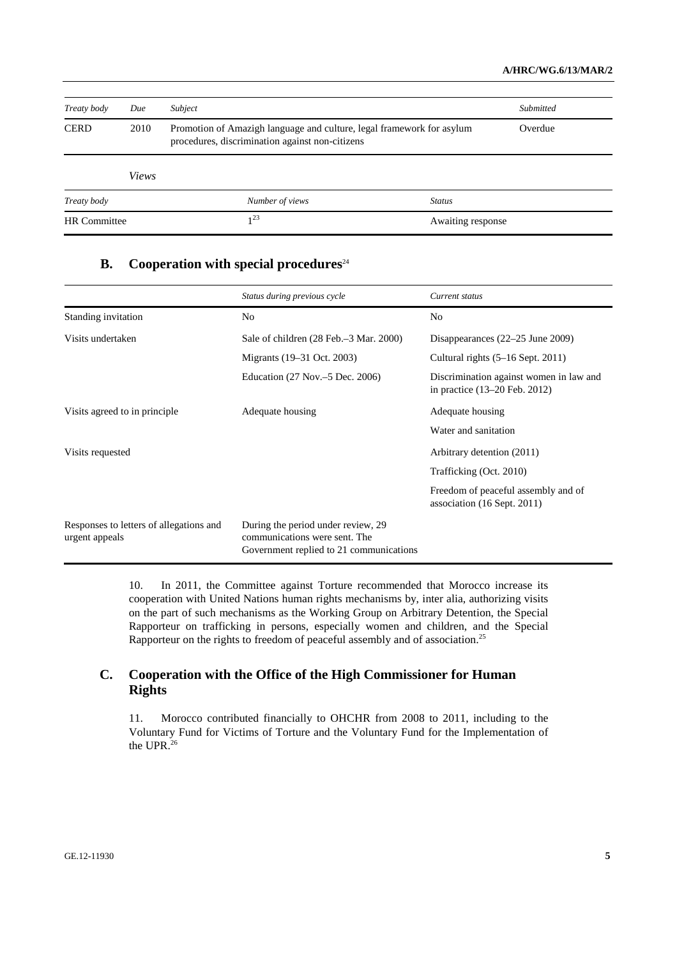| Treaty body         | Due   | Subject                                                                                                                  |                   | Submitted |
|---------------------|-------|--------------------------------------------------------------------------------------------------------------------------|-------------------|-----------|
| <b>CERD</b>         | 2010  | Promotion of Amazigh language and culture, legal framework for asylum<br>procedures, discrimination against non-citizens |                   | Overdue   |
|                     | Views |                                                                                                                          |                   |           |
| Treaty body         |       | Number of views                                                                                                          | <b>Status</b>     |           |
| <b>HR</b> Committee |       | $1^{23}$                                                                                                                 | Awaiting response |           |

## **B.** Cooperation with special procedures<sup>24</sup>

|                                                           | Status during previous cycle                                                                                   | Current status                                                             |
|-----------------------------------------------------------|----------------------------------------------------------------------------------------------------------------|----------------------------------------------------------------------------|
| Standing invitation                                       | N <sub>o</sub>                                                                                                 | N <sub>0</sub>                                                             |
| Visits undertaken                                         | Sale of children (28 Feb. - 3 Mar. 2000)                                                                       | Disappearances $(22-25$ June 2009)                                         |
|                                                           | Migrants (19–31 Oct. 2003)                                                                                     | Cultural rights (5–16 Sept. 2011)                                          |
|                                                           | Education (27 Nov.–5 Dec. 2006)                                                                                | Discrimination against women in law and<br>in practice $(13-20$ Feb. 2012) |
| Visits agreed to in principle                             | Adequate housing                                                                                               | Adequate housing                                                           |
|                                                           |                                                                                                                | Water and sanitation                                                       |
| Visits requested                                          |                                                                                                                | Arbitrary detention (2011)                                                 |
|                                                           |                                                                                                                | Trafficking (Oct. 2010)                                                    |
|                                                           |                                                                                                                | Freedom of peaceful assembly and of<br>association (16 Sept. 2011)         |
| Responses to letters of allegations and<br>urgent appeals | During the period under review, 29<br>communications were sent. The<br>Government replied to 21 communications |                                                                            |

10. In 2011, the Committee against Torture recommended that Morocco increase its cooperation with United Nations human rights mechanisms by, inter alia, authorizing visits on the part of such mechanisms as the Working Group on Arbitrary Detention, the Special Rapporteur on trafficking in persons, especially women and children, and the Special Rapporteur on the rights to freedom of peaceful assembly and of association.25

## **C. Cooperation with the Office of the High Commissioner for Human Rights**

11. Morocco contributed financially to OHCHR from 2008 to 2011, including to the Voluntary Fund for Victims of Torture and the Voluntary Fund for the Implementation of the UPR.<sup>26</sup>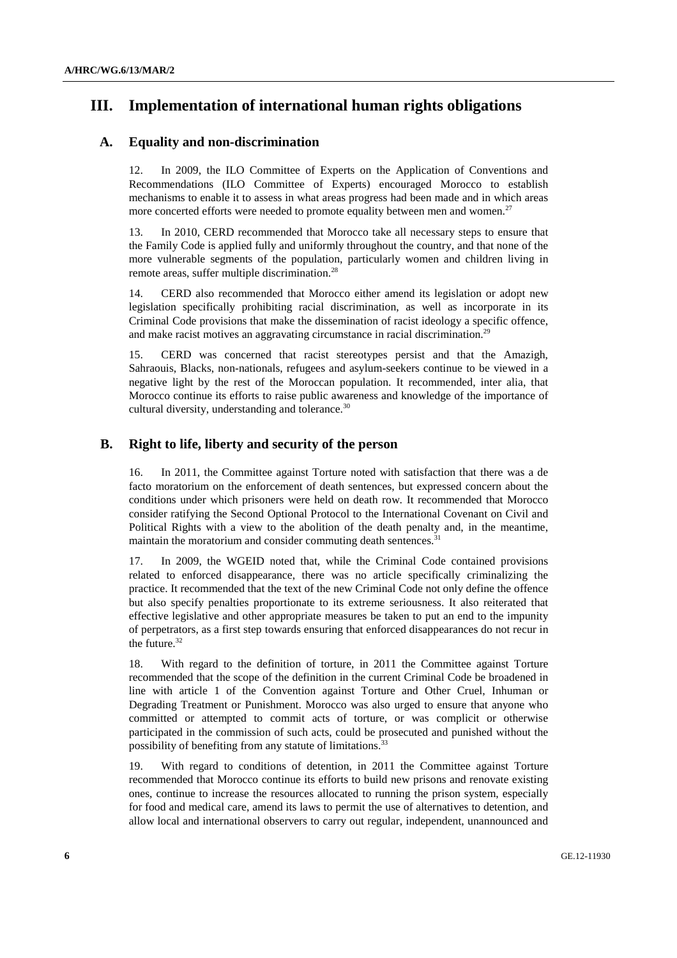## **III. Implementation of international human rights obligations**

#### **A. Equality and non-discrimination**

12. In 2009, the ILO Committee of Experts on the Application of Conventions and Recommendations (ILO Committee of Experts) encouraged Morocco to establish mechanisms to enable it to assess in what areas progress had been made and in which areas more concerted efforts were needed to promote equality between men and women.<sup>27</sup>

13. In 2010, CERD recommended that Morocco take all necessary steps to ensure that the Family Code is applied fully and uniformly throughout the country, and that none of the more vulnerable segments of the population, particularly women and children living in remote areas, suffer multiple discrimination.<sup>28</sup>

14. CERD also recommended that Morocco either amend its legislation or adopt new legislation specifically prohibiting racial discrimination, as well as incorporate in its Criminal Code provisions that make the dissemination of racist ideology a specific offence, and make racist motives an aggravating circumstance in racial discrimination.<sup>29</sup>

15. CERD was concerned that racist stereotypes persist and that the Amazigh, Sahraouis, Blacks, non-nationals, refugees and asylum-seekers continue to be viewed in a negative light by the rest of the Moroccan population. It recommended, inter alia, that Morocco continue its efforts to raise public awareness and knowledge of the importance of cultural diversity, understanding and tolerance.<sup>30</sup>

#### **B. Right to life, liberty and security of the person**

16. In 2011, the Committee against Torture noted with satisfaction that there was a de facto moratorium on the enforcement of death sentences, but expressed concern about the conditions under which prisoners were held on death row. It recommended that Morocco consider ratifying the Second Optional Protocol to the International Covenant on Civil and Political Rights with a view to the abolition of the death penalty and, in the meantime, maintain the moratorium and consider commuting death sentences.<sup>31</sup>

17. In 2009, the WGEID noted that, while the Criminal Code contained provisions related to enforced disappearance, there was no article specifically criminalizing the practice. It recommended that the text of the new Criminal Code not only define the offence but also specify penalties proportionate to its extreme seriousness. It also reiterated that effective legislative and other appropriate measures be taken to put an end to the impunity of perpetrators, as a first step towards ensuring that enforced disappearances do not recur in the future.<sup>32</sup>

18. With regard to the definition of torture, in 2011 the Committee against Torture recommended that the scope of the definition in the current Criminal Code be broadened in line with article 1 of the Convention against Torture and Other Cruel, Inhuman or Degrading Treatment or Punishment. Morocco was also urged to ensure that anyone who committed or attempted to commit acts of torture, or was complicit or otherwise participated in the commission of such acts, could be prosecuted and punished without the possibility of benefiting from any statute of limitations.<sup>33</sup>

19. With regard to conditions of detention, in 2011 the Committee against Torture recommended that Morocco continue its efforts to build new prisons and renovate existing ones, continue to increase the resources allocated to running the prison system, especially for food and medical care, amend its laws to permit the use of alternatives to detention, and allow local and international observers to carry out regular, independent, unannounced and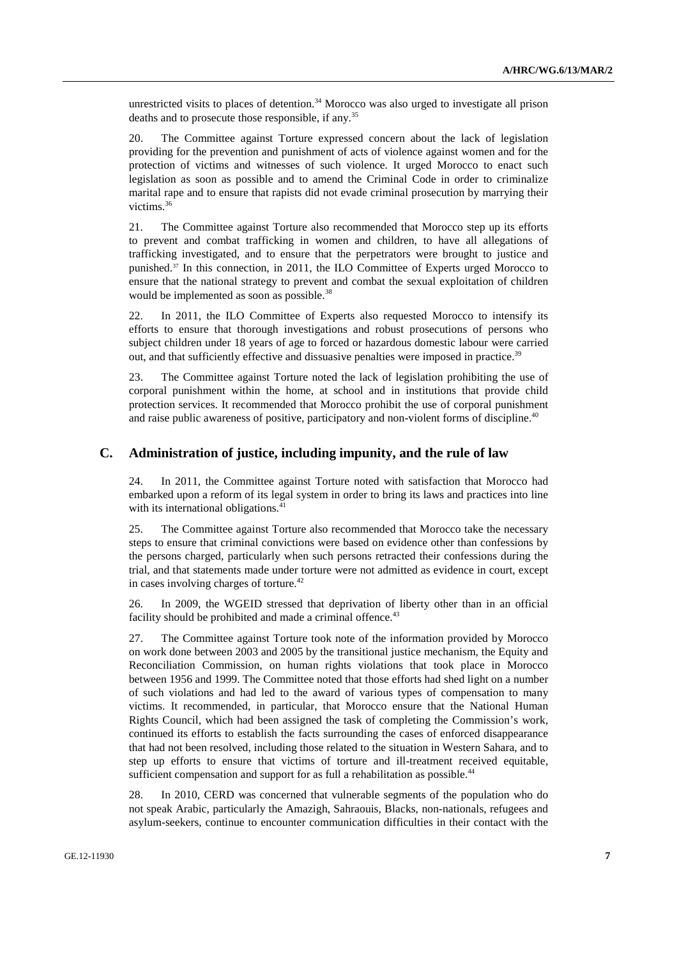unrestricted visits to places of detention.<sup>34</sup> Morocco was also urged to investigate all prison deaths and to prosecute those responsible, if any.<sup>35</sup>

20. The Committee against Torture expressed concern about the lack of legislation providing for the prevention and punishment of acts of violence against women and for the protection of victims and witnesses of such violence. It urged Morocco to enact such legislation as soon as possible and to amend the Criminal Code in order to criminalize marital rape and to ensure that rapists did not evade criminal prosecution by marrying their victims.<sup>36</sup>

21. The Committee against Torture also recommended that Morocco step up its efforts to prevent and combat trafficking in women and children, to have all allegations of trafficking investigated, and to ensure that the perpetrators were brought to justice and punished.37 In this connection, in 2011, the ILO Committee of Experts urged Morocco to ensure that the national strategy to prevent and combat the sexual exploitation of children would be implemented as soon as possible.<sup>38</sup>

22. In 2011, the ILO Committee of Experts also requested Morocco to intensify its efforts to ensure that thorough investigations and robust prosecutions of persons who subject children under 18 years of age to forced or hazardous domestic labour were carried out, and that sufficiently effective and dissuasive penalties were imposed in practice.<sup>39</sup>

23. The Committee against Torture noted the lack of legislation prohibiting the use of corporal punishment within the home, at school and in institutions that provide child protection services. It recommended that Morocco prohibit the use of corporal punishment and raise public awareness of positive, participatory and non-violent forms of discipline.<sup>40</sup>

#### **C. Administration of justice, including impunity, and the rule of law**

24. In 2011, the Committee against Torture noted with satisfaction that Morocco had embarked upon a reform of its legal system in order to bring its laws and practices into line with its international obligations.<sup>41</sup>

25. The Committee against Torture also recommended that Morocco take the necessary steps to ensure that criminal convictions were based on evidence other than confessions by the persons charged, particularly when such persons retracted their confessions during the trial, and that statements made under torture were not admitted as evidence in court, except in cases involving charges of torture.<sup>42</sup>

26. In 2009, the WGEID stressed that deprivation of liberty other than in an official facility should be prohibited and made a criminal offence. $43$ 

27. The Committee against Torture took note of the information provided by Morocco on work done between 2003 and 2005 by the transitional justice mechanism, the Equity and Reconciliation Commission, on human rights violations that took place in Morocco between 1956 and 1999. The Committee noted that those efforts had shed light on a number of such violations and had led to the award of various types of compensation to many victims. It recommended, in particular, that Morocco ensure that the National Human Rights Council, which had been assigned the task of completing the Commission's work, continued its efforts to establish the facts surrounding the cases of enforced disappearance that had not been resolved, including those related to the situation in Western Sahara, and to step up efforts to ensure that victims of torture and ill-treatment received equitable, sufficient compensation and support for as full a rehabilitation as possible.<sup>44</sup>

28. In 2010, CERD was concerned that vulnerable segments of the population who do not speak Arabic, particularly the Amazigh, Sahraouis, Blacks, non-nationals, refugees and asylum-seekers, continue to encounter communication difficulties in their contact with the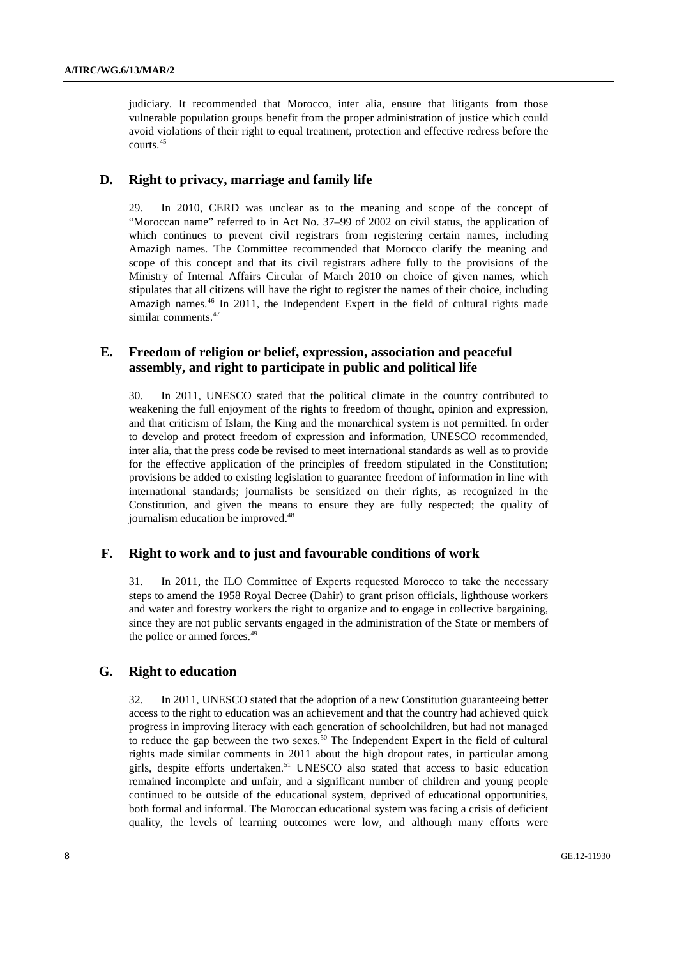judiciary. It recommended that Morocco, inter alia, ensure that litigants from those vulnerable population groups benefit from the proper administration of justice which could avoid violations of their right to equal treatment, protection and effective redress before the courts.45

#### **D. Right to privacy, marriage and family life**

29. In 2010, CERD was unclear as to the meaning and scope of the concept of "Moroccan name" referred to in Act No. 37–99 of 2002 on civil status, the application of which continues to prevent civil registrars from registering certain names, including Amazigh names. The Committee recommended that Morocco clarify the meaning and scope of this concept and that its civil registrars adhere fully to the provisions of the Ministry of Internal Affairs Circular of March 2010 on choice of given names, which stipulates that all citizens will have the right to register the names of their choice, including Amazigh names.<sup>46</sup> In 2011, the Independent Expert in the field of cultural rights made similar comments.<sup>47</sup>

#### **E. Freedom of religion or belief, expression, association and peaceful assembly, and right to participate in public and political life**

30. In 2011, UNESCO stated that the political climate in the country contributed to weakening the full enjoyment of the rights to freedom of thought, opinion and expression, and that criticism of Islam, the King and the monarchical system is not permitted. In order to develop and protect freedom of expression and information, UNESCO recommended, inter alia, that the press code be revised to meet international standards as well as to provide for the effective application of the principles of freedom stipulated in the Constitution; provisions be added to existing legislation to guarantee freedom of information in line with international standards; journalists be sensitized on their rights, as recognized in the Constitution, and given the means to ensure they are fully respected; the quality of journalism education be improved.<sup>48</sup>

#### **F. Right to work and to just and favourable conditions of work**

31. In 2011, the ILO Committee of Experts requested Morocco to take the necessary steps to amend the 1958 Royal Decree (Dahir) to grant prison officials, lighthouse workers and water and forestry workers the right to organize and to engage in collective bargaining, since they are not public servants engaged in the administration of the State or members of the police or armed forces.<sup>49</sup>

#### **G. Right to education**

32. In 2011, UNESCO stated that the adoption of a new Constitution guaranteeing better access to the right to education was an achievement and that the country had achieved quick progress in improving literacy with each generation of schoolchildren, but had not managed to reduce the gap between the two sexes.<sup>50</sup> The Independent Expert in the field of cultural rights made similar comments in 2011 about the high dropout rates, in particular among girls, despite efforts undertaken.<sup>51</sup> UNESCO also stated that access to basic education remained incomplete and unfair, and a significant number of children and young people continued to be outside of the educational system, deprived of educational opportunities, both formal and informal. The Moroccan educational system was facing a crisis of deficient quality, the levels of learning outcomes were low, and although many efforts were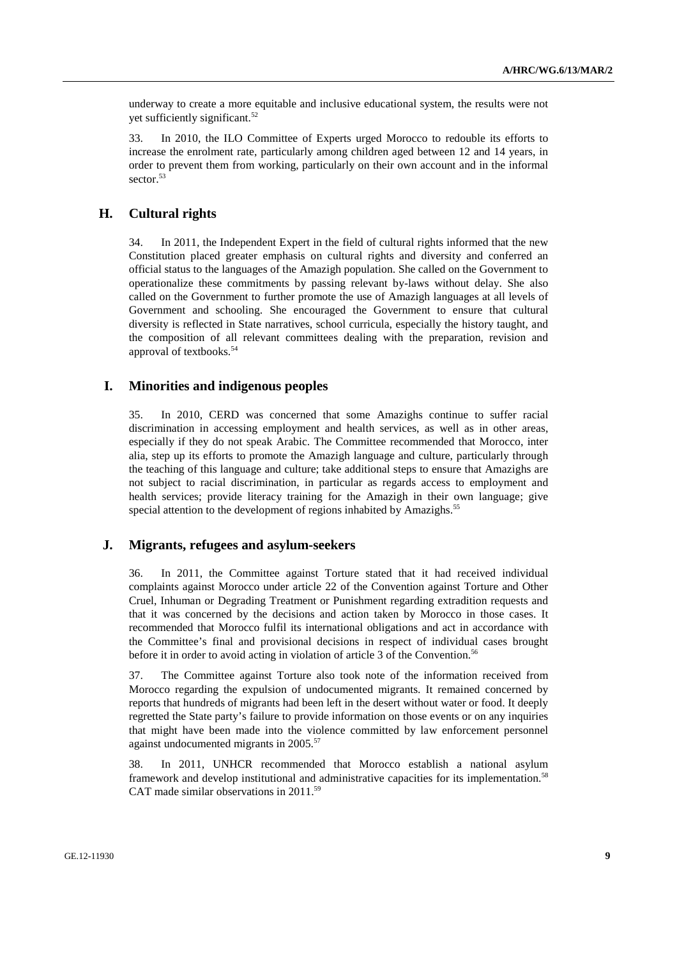underway to create a more equitable and inclusive educational system, the results were not yet sufficiently significant.<sup>52</sup>

33. In 2010, the ILO Committee of Experts urged Morocco to redouble its efforts to increase the enrolment rate, particularly among children aged between 12 and 14 years, in order to prevent them from working, particularly on their own account and in the informal sector.<sup>53</sup>

#### **H. Cultural rights**

34. In 2011, the Independent Expert in the field of cultural rights informed that the new Constitution placed greater emphasis on cultural rights and diversity and conferred an official status to the languages of the Amazigh population. She called on the Government to operationalize these commitments by passing relevant by-laws without delay. She also called on the Government to further promote the use of Amazigh languages at all levels of Government and schooling. She encouraged the Government to ensure that cultural diversity is reflected in State narratives, school curricula, especially the history taught, and the composition of all relevant committees dealing with the preparation, revision and approval of textbooks.54

#### **I. Minorities and indigenous peoples**

35. In 2010, CERD was concerned that some Amazighs continue to suffer racial discrimination in accessing employment and health services, as well as in other areas, especially if they do not speak Arabic. The Committee recommended that Morocco, inter alia, step up its efforts to promote the Amazigh language and culture, particularly through the teaching of this language and culture; take additional steps to ensure that Amazighs are not subject to racial discrimination, in particular as regards access to employment and health services; provide literacy training for the Amazigh in their own language; give special attention to the development of regions inhabited by Amazighs.<sup>55</sup>

#### **J. Migrants, refugees and asylum-seekers**

36. In 2011, the Committee against Torture stated that it had received individual complaints against Morocco under article 22 of the Convention against Torture and Other Cruel, Inhuman or Degrading Treatment or Punishment regarding extradition requests and that it was concerned by the decisions and action taken by Morocco in those cases. It recommended that Morocco fulfil its international obligations and act in accordance with the Committee's final and provisional decisions in respect of individual cases brought before it in order to avoid acting in violation of article 3 of the Convention.<sup>56</sup>

37. The Committee against Torture also took note of the information received from Morocco regarding the expulsion of undocumented migrants. It remained concerned by reports that hundreds of migrants had been left in the desert without water or food. It deeply regretted the State party's failure to provide information on those events or on any inquiries that might have been made into the violence committed by law enforcement personnel against undocumented migrants in 2005.<sup>57</sup>

38. In 2011, UNHCR recommended that Morocco establish a national asylum framework and develop institutional and administrative capacities for its implementation.<sup>58</sup> CAT made similar observations in 2011.<sup>59</sup>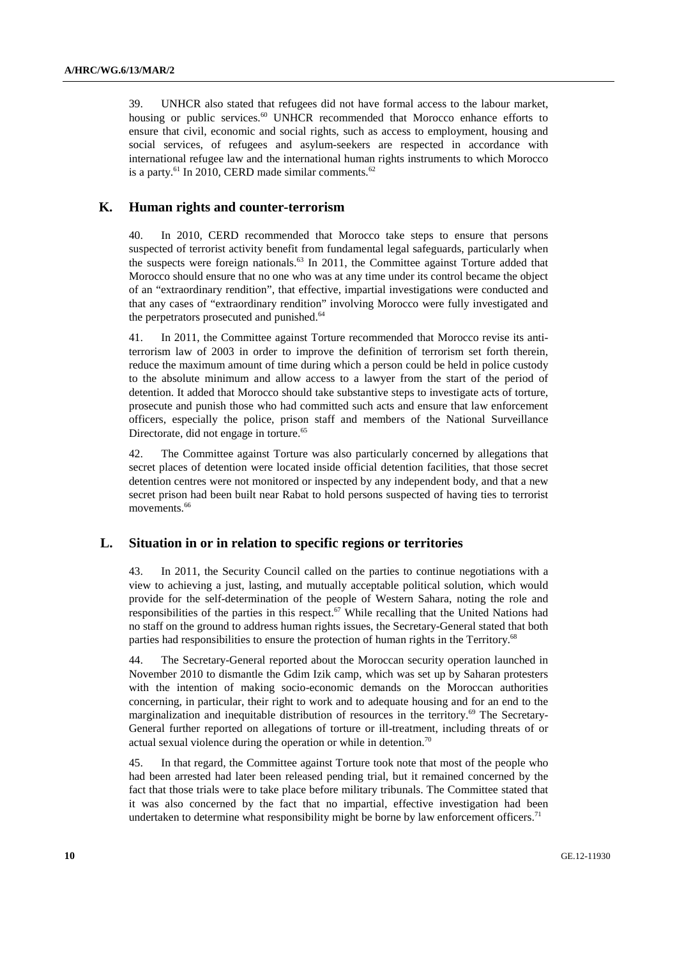39. UNHCR also stated that refugees did not have formal access to the labour market, housing or public services.<sup>60</sup> UNHCR recommended that Morocco enhance efforts to ensure that civil, economic and social rights, such as access to employment, housing and social services, of refugees and asylum-seekers are respected in accordance with international refugee law and the international human rights instruments to which Morocco is a party.<sup>61</sup> In 2010, CERD made similar comments.<sup>62</sup>

#### **K. Human rights and counter-terrorism**

40. In 2010, CERD recommended that Morocco take steps to ensure that persons suspected of terrorist activity benefit from fundamental legal safeguards, particularly when the suspects were foreign nationals.<sup>63</sup> In 2011, the Committee against Torture added that Morocco should ensure that no one who was at any time under its control became the object of an "extraordinary rendition", that effective, impartial investigations were conducted and that any cases of "extraordinary rendition" involving Morocco were fully investigated and the perpetrators prosecuted and punished.<sup>64</sup>

41. In 2011, the Committee against Torture recommended that Morocco revise its antiterrorism law of 2003 in order to improve the definition of terrorism set forth therein, reduce the maximum amount of time during which a person could be held in police custody to the absolute minimum and allow access to a lawyer from the start of the period of detention. It added that Morocco should take substantive steps to investigate acts of torture, prosecute and punish those who had committed such acts and ensure that law enforcement officers, especially the police, prison staff and members of the National Surveillance Directorate, did not engage in torture.<sup>65</sup>

42. The Committee against Torture was also particularly concerned by allegations that secret places of detention were located inside official detention facilities, that those secret detention centres were not monitored or inspected by any independent body, and that a new secret prison had been built near Rabat to hold persons suspected of having ties to terrorist movements.<sup>66</sup>

#### **L. Situation in or in relation to specific regions or territories**

43. In 2011, the Security Council called on the parties to continue negotiations with a view to achieving a just, lasting, and mutually acceptable political solution, which would provide for the self-determination of the people of Western Sahara, noting the role and responsibilities of the parties in this respect.<sup>67</sup> While recalling that the United Nations had no staff on the ground to address human rights issues, the Secretary-General stated that both parties had responsibilities to ensure the protection of human rights in the Territory.<sup>68</sup>

44. The Secretary-General reported about the Moroccan security operation launched in November 2010 to dismantle the Gdim Izik camp, which was set up by Saharan protesters with the intention of making socio-economic demands on the Moroccan authorities concerning, in particular, their right to work and to adequate housing and for an end to the marginalization and inequitable distribution of resources in the territory.<sup>69</sup> The Secretary-General further reported on allegations of torture or ill-treatment, including threats of or actual sexual violence during the operation or while in detention.<sup>70</sup>

45. In that regard, the Committee against Torture took note that most of the people who had been arrested had later been released pending trial, but it remained concerned by the fact that those trials were to take place before military tribunals. The Committee stated that it was also concerned by the fact that no impartial, effective investigation had been undertaken to determine what responsibility might be borne by law enforcement officers.<sup>71</sup>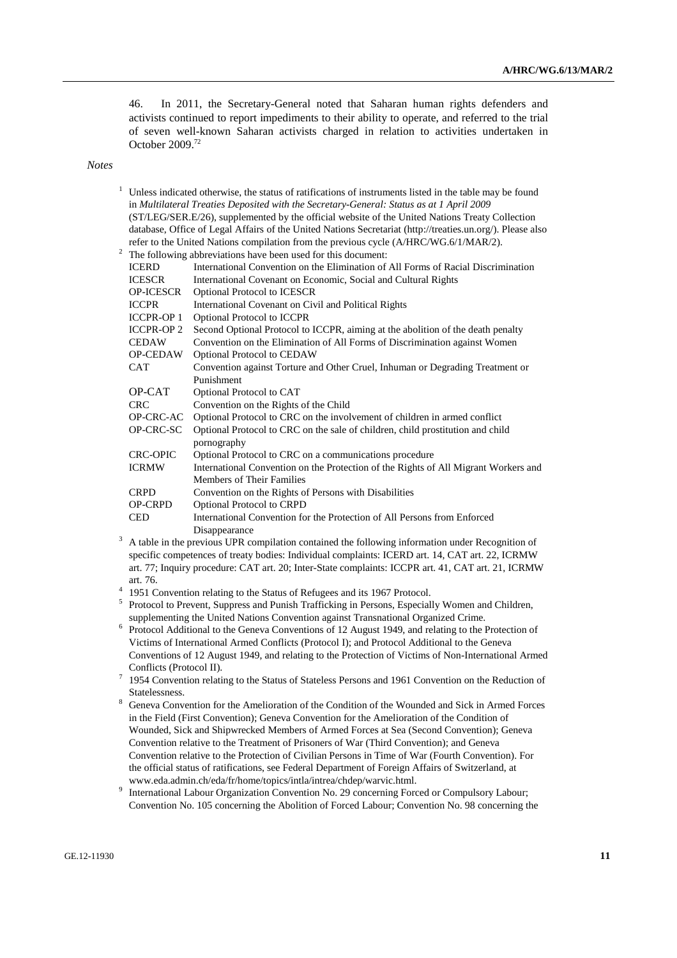46. In 2011, the Secretary-General noted that Saharan human rights defenders and activists continued to report impediments to their ability to operate, and referred to the trial of seven well-known Saharan activists charged in relation to activities undertaken in October 2009.72

#### *Notes*

| 2 |                                   | Unless indicated otherwise, the status of ratifications of instruments listed in the table may be found<br>in Multilateral Treaties Deposited with the Secretary-General: Status as at 1 April 2009<br>(ST/LEG/SER.E/26), supplemented by the official website of the United Nations Treaty Collection<br>database, Office of Legal Affairs of the United Nations Secretariat (http://treaties.un.org/). Please also<br>refer to the United Nations compilation from the previous cycle (A/HRC/WG.6/1/MAR/2).<br>The following abbreviations have been used for this document: |
|---|-----------------------------------|--------------------------------------------------------------------------------------------------------------------------------------------------------------------------------------------------------------------------------------------------------------------------------------------------------------------------------------------------------------------------------------------------------------------------------------------------------------------------------------------------------------------------------------------------------------------------------|
|   | <b>ICERD</b>                      | International Convention on the Elimination of All Forms of Racial Discrimination                                                                                                                                                                                                                                                                                                                                                                                                                                                                                              |
|   | <b>ICESCR</b>                     | International Covenant on Economic, Social and Cultural Rights                                                                                                                                                                                                                                                                                                                                                                                                                                                                                                                 |
|   | <b>OP-ICESCR</b>                  | <b>Optional Protocol to ICESCR</b>                                                                                                                                                                                                                                                                                                                                                                                                                                                                                                                                             |
|   | <b>ICCPR</b>                      | International Covenant on Civil and Political Rights                                                                                                                                                                                                                                                                                                                                                                                                                                                                                                                           |
|   | <b>ICCPR-OP1</b>                  | <b>Optional Protocol to ICCPR</b>                                                                                                                                                                                                                                                                                                                                                                                                                                                                                                                                              |
|   | <b>ICCPR-OP 2</b><br><b>CEDAW</b> | Second Optional Protocol to ICCPR, aiming at the abolition of the death penalty                                                                                                                                                                                                                                                                                                                                                                                                                                                                                                |
|   | <b>OP-CEDAW</b>                   | Convention on the Elimination of All Forms of Discrimination against Women<br>Optional Protocol to CEDAW                                                                                                                                                                                                                                                                                                                                                                                                                                                                       |
|   | <b>CAT</b>                        | Convention against Torture and Other Cruel, Inhuman or Degrading Treatment or                                                                                                                                                                                                                                                                                                                                                                                                                                                                                                  |
|   |                                   | Punishment                                                                                                                                                                                                                                                                                                                                                                                                                                                                                                                                                                     |
|   | OP-CAT                            | Optional Protocol to CAT                                                                                                                                                                                                                                                                                                                                                                                                                                                                                                                                                       |
|   | <b>CRC</b>                        | Convention on the Rights of the Child                                                                                                                                                                                                                                                                                                                                                                                                                                                                                                                                          |
|   | OP-CRC-AC                         | Optional Protocol to CRC on the involvement of children in armed conflict                                                                                                                                                                                                                                                                                                                                                                                                                                                                                                      |
|   | OP-CRC-SC                         | Optional Protocol to CRC on the sale of children, child prostitution and child<br>pornography                                                                                                                                                                                                                                                                                                                                                                                                                                                                                  |
|   | <b>CRC-OPIC</b>                   | Optional Protocol to CRC on a communications procedure                                                                                                                                                                                                                                                                                                                                                                                                                                                                                                                         |
|   | <b>ICRMW</b>                      | International Convention on the Protection of the Rights of All Migrant Workers and<br><b>Members of Their Families</b>                                                                                                                                                                                                                                                                                                                                                                                                                                                        |
|   | <b>CRPD</b>                       | Convention on the Rights of Persons with Disabilities                                                                                                                                                                                                                                                                                                                                                                                                                                                                                                                          |
|   | <b>OP-CRPD</b>                    | <b>Optional Protocol to CRPD</b>                                                                                                                                                                                                                                                                                                                                                                                                                                                                                                                                               |
|   | <b>CED</b>                        | International Convention for the Protection of All Persons from Enforced<br>Disappearance                                                                                                                                                                                                                                                                                                                                                                                                                                                                                      |
| 3 |                                   | A table in the previous UPR compilation contained the following information under Recognition of                                                                                                                                                                                                                                                                                                                                                                                                                                                                               |
|   |                                   | specific competences of treaty bodies: Individual complaints: ICERD art. 14, CAT art. 22, ICRMW                                                                                                                                                                                                                                                                                                                                                                                                                                                                                |
|   |                                   | art. 77; Inquiry procedure: CAT art. 20; Inter-State complaints: ICCPR art. 41, CAT art. 21, ICRMW                                                                                                                                                                                                                                                                                                                                                                                                                                                                             |
|   | art. 76.                          |                                                                                                                                                                                                                                                                                                                                                                                                                                                                                                                                                                                |
|   |                                   | 1951 Convention relating to the Status of Refugees and its 1967 Protocol.                                                                                                                                                                                                                                                                                                                                                                                                                                                                                                      |
|   |                                   | Protocol to Prevent, Suppress and Punish Trafficking in Persons, Especially Women and Children,                                                                                                                                                                                                                                                                                                                                                                                                                                                                                |
|   |                                   | supplementing the United Nations Convention against Transnational Organized Crime.                                                                                                                                                                                                                                                                                                                                                                                                                                                                                             |
| 6 |                                   | Protocol Additional to the Geneva Conventions of 12 August 1949, and relating to the Protection of                                                                                                                                                                                                                                                                                                                                                                                                                                                                             |
|   |                                   | Victims of International Armed Conflicts (Protocol I); and Protocol Additional to the Geneva                                                                                                                                                                                                                                                                                                                                                                                                                                                                                   |
|   | Confliota (Drotaaal II)           | Conventions of 12 August 1949, and relating to the Protection of Victims of Non-International Armed                                                                                                                                                                                                                                                                                                                                                                                                                                                                            |

- Conflicts (Protocol II).<br>
<sup>7</sup> 1954 Convention relating to the Status of Stateless Persons and 1961 Convention on the Reduction of Statelessness.
- Geneva Convention for the Amelioration of the Condition of the Wounded and Sick in Armed Forces in the Field (First Convention); Geneva Convention for the Amelioration of the Condition of Wounded, Sick and Shipwrecked Members of Armed Forces at Sea (Second Convention); Geneva Convention relative to the Treatment of Prisoners of War (Third Convention); and Geneva Convention relative to the Protection of Civilian Persons in Time of War (Fourth Convention). For the official status of ratifications, see Federal Department of Foreign Affairs of Switzerland, at www.eda.admin.ch/eda/fr/home/topics/intla/intrea/chdep/warvic.html. 9
- <sup>9</sup> International Labour Organization Convention No. 29 concerning Forced or Compulsory Labour; Convention No. 105 concerning the Abolition of Forced Labour; Convention No. 98 concerning the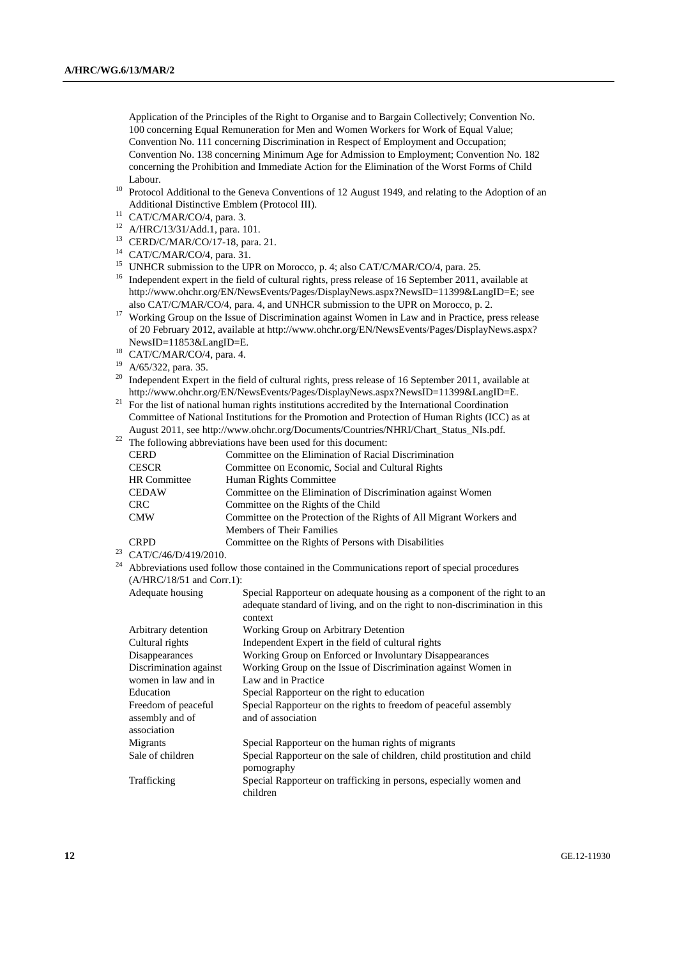Application of the Principles of the Right to Organise and to Bargain Collectively; Convention No. 100 concerning Equal Remuneration for Men and Women Workers for Work of Equal Value; Convention No. 111 concerning Discrimination in Respect of Employment and Occupation; Convention No. 138 concerning Minimum Age for Admission to Employment; Convention No. 182 concerning the Prohibition and Immediate Action for the Elimination of the Worst Forms of Child

- Labour.<br><sup>10</sup> Protocol Additional to the Geneva Conventions of 12 August 1949, and relating to the Adoption of an<br>Additional Distinctive Emblem (Protocol III).
- $11$  CAT/C/MAR/CO/4, para. 3.
- 12 A/HRC/13/31/Add.1, para. 101.
- 13 CERD/C/MAR/CO/17-18, para. 21.
- 14 CAT/C/MAR/CO/4, para. 31.
- <sup>15</sup> UNHCR submission to the UPR on Morocco, p. 4; also CAT/C/MAR/CO/4, para. 25.
- <sup>16</sup> Independent expert in the field of cultural rights, press release of 16 September 2011, available at http://www.ohchr.org/EN/NewsEvents/Pages/DisplayNews.aspx?NewsID=11399&LangID=E; see also CAT/C/MAR/CO/4, para. 4, and UNHCR submission to the UPR on Morocco, p. 2.
- <sup>17</sup> Working Group on the Issue of Discrimination against Women in Law and in Practice, press release of 20 February 2012, available at http://www.ohchr.org/EN/NewsEvents/Pages/DisplayNews.aspx? NewsID=11853&LangID=E.<br><sup>18</sup> CAT/C/MAR/CO/4, para. 4.
- 
- 19 A/65/322, para. 35.
- <sup>20</sup> Independent Expert in the field of cultural rights, press release of 16 September 2011, available at
- http://www.ohchr.org/EN/NewsEvents/Pages/DisplayNews.aspx?NewsID=11399&LangID=E. 21 For the list of national human rights institutions accredited by the International Coordination Committee of National Institutions for the Promotion and Protection of Human Rights (ICC) as at
- $\frac{22}{\pi}$  The following abbreviations have been used for this document:

|                     | The Tonowing abore viations have been ased for this document.        |
|---------------------|----------------------------------------------------------------------|
| <b>CERD</b>         | Committee on the Elimination of Racial Discrimination                |
| <b>CESCR</b>        | Committee on Economic, Social and Cultural Rights                    |
| <b>HR</b> Committee | Human Rights Committee                                               |
| <b>CEDAW</b>        | Committee on the Elimination of Discrimination against Women         |
| <b>CRC</b>          | Committee on the Rights of the Child                                 |
| <b>CMW</b>          | Committee on the Protection of the Rights of All Migrant Workers and |
|                     | <b>Members of Their Families</b>                                     |
| <b>CRPD</b>         | Committee on the Rights of Persons with Disabilities                 |

 $23$  CAT/C/46/D/419/2010.

| <sup>24</sup> Abbreviations used follow those contained in the Communications report of special procedures |
|------------------------------------------------------------------------------------------------------------|
| $(A/HRC/18/51$ and Corr.1):                                                                                |

| Adequate housing       | Special Rapporteur on adequate housing as a component of the right to an    |
|------------------------|-----------------------------------------------------------------------------|
|                        | adequate standard of living, and on the right to non-discrimination in this |
|                        | context                                                                     |
| Arbitrary detention    | Working Group on Arbitrary Detention                                        |
| Cultural rights        | Independent Expert in the field of cultural rights                          |
| Disappearances         | Working Group on Enforced or Involuntary Disappearances                     |
| Discrimination against | Working Group on the Issue of Discrimination against Women in               |
| women in law and in    | Law and in Practice                                                         |
| Education              | Special Rapporteur on the right to education                                |
| Freedom of peaceful    | Special Rapporteur on the rights to freedom of peaceful assembly            |
| assembly and of        | and of association                                                          |
| association            |                                                                             |
| Migrants               | Special Rapporteur on the human rights of migrants                          |
| Sale of children       | Special Rapporteur on the sale of children, child prostitution and child    |
|                        | pornography                                                                 |
| Trafficking            | Special Rapporteur on trafficking in persons, especially women and          |
|                        | children                                                                    |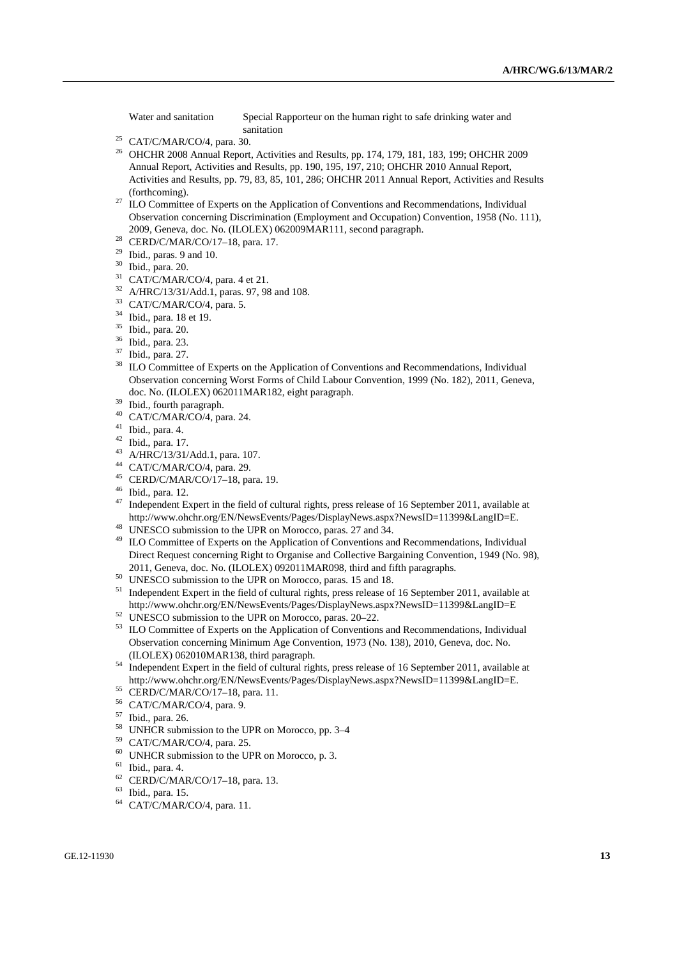Water and sanitation Special Rapporteur on the human right to safe drinking water and

- sanitation<br><sup>25</sup> CAT/C/MAR/CO/4, para. 30.<br><sup>26</sup> OHCHP 2008 Appuel Peport, Activity
- 26 OHCHR 2008 Annual Report, Activities and Results, pp. 174, 179, 181, 183, 199; OHCHR 2009 Annual Report, Activities and Results, pp. 190, 195, 197, 210; OHCHR 2010 Annual Report, Activities and Results, pp. 79, 83, 85, 101, 286; OHCHR 2011 Annual Report, Activities and Results
- (forthcoming). 27 ILO Committee of Experts on the Application of Conventions and Recommendations, Individual Observation concerning Discrimination (Employment and Occupation) Convention, 1958 (No. 111), 2009, Geneva, doc. No. (ILOLEX) 062009MAR111, second paragraph. 28 CERD/C/MAR/CO/17–18, para. 17.
- 
- $29$  Ibid., paras. 9 and 10.
- 30 Ibid., para. 20.
- $31$  CAT/C/MAR/CO/4, para. 4 et 21.
- 32 A/HRC/13/31/Add.1, paras. 97, 98 and 108.
- 33 CAT/C/MAR/CO/4, para. 5.
- 34 Ibid., para. 18 et 19.
- 35 Ibid., para. 20.
- 36 Ibid., para. 23.
- $37$  Ibid., para. 27.
- ILO Committee of Experts on the Application of Conventions and Recommendations, Individual Observation concerning Worst Forms of Child Labour Convention, 1999 (No. 182), 2011, Geneva, doc. No. (ILOLEX) 062011MAR182, eight paragraph.<br><sup>39</sup> Ibid., fourth paragraph.<br><sup>40</sup> CAT/CAAD/CO/4 asses 24
- 
- CAT/C/MAR/CO/4, para. 24.
- 41 Ibid., para. 4.
- 
- 42 Ibid., para. 17.<br> $^{43}$  A/HRC/13/31/Add.1, para. 107.
- 
- 44 CAT/C/MAR/CO/4, para. 29.<br>45 CERD/C/MAR/CO/17–18, para. 19.<br>46 Ibid.. para. 12.
- 
- $47$  Independent Expert in the field of cultural rights, press release of 16 September 2011, available at http://www.ohchr.org/EN/NewsEvents/Pages/DisplayNews.aspx?NewsID=11399&LangID=E. 48 UNESCO submission to the UPR on Morocco, paras. 27 and 34.
- 
- <sup>49</sup> ILO Committee of Experts on the Application of Conventions and Recommendations, Individual Direct Request concerning Right to Organise and Collective Bargaining Convention, 1949 (No. 98),
- 
- 2011, Geneva, doc. No. (ILOLEX) 092011MAR098, third and fifth paragraphs.<br><sup>50</sup> UNESCO submission to the UPR on Morocco, paras. 15 and 18.<br><sup>51</sup> Independent Expert in the field of cultural rights, press release of 16 Septemb http://www.ohchr.org/EN/NewsEvents/Pages/DisplayNews.aspx?NewsID=11399&LangID=E 52 UNESCO submission to the UPR on Morocco, paras. 20–22.
- 
- <sup>53</sup> ILO Committee of Experts on the Application of Conventions and Recommendations, Individual Observation concerning Minimum Age Convention, 1973 (No. 138), 2010, Geneva, doc. No.
- $^{54}$  Independent Expert in the field of cultural rights, press release of 16 September 2011, available at http://www.ohchr.org/EN/NewsEvents/Pages/DisplayNews.aspx?NewsID=11399&LangID=E. 55 CERD/C/MAR/CO/17–18, para. 11.
- 
- 56 CAT/C/MAR/CO/4, para. 9.
- 57 Ibid., para. 26.
- <sup>58</sup> UNHCR submission to the UPR on Morocco, pp. 3–4<br><sup>59</sup> CAT/CMAP/CO/4, para 25
- CAT/C/MAR/CO/4, para. 25.
- 60 UNHCR submission to the UPR on Morocco, p. 3.
- $^{61}$  Ibid., para. 4.
- CERD/C/MAR/CO/17-18, para. 13.
- 63 Ibid., para. 15.
- 64 CAT/C/MAR/CO/4, para. 11.